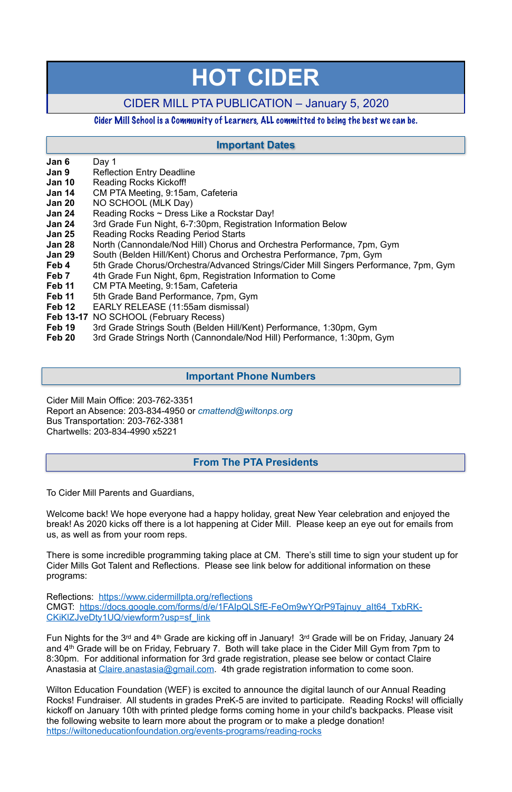- **Jan 6** Day 1
- **Jan 9** Reflection Entry Deadline
- **Jan 10** Reading Rocks Kickoff!
- **Jan 14** CM PTA Meeting, 9:15am, Cafeteria
- **Jan 20** NO SCHOOL (MLK Day)
- **Jan 24** •• Reading Rocks ~ Dress Like a Rockstar Day!
- **Jan 24** 3rd Grade Fun Night, 6-7:30pm, Registration Information Below
- **Jan 25** Reading Rocks Reading Period Starts
- **Jan 28** North (Cannondale/Nod Hill) Chorus and Orchestra Performance, 7pm, Gym
- **Jan 29** South (Belden Hill/Kent) Chorus and Orchestra Performance, 7pm, Gym
- **Feb 4** 5th Grade Chorus/Orchestra/Advanced Strings/Cider Mill Singers Performance, 7pm, Gym
- **Feb 7** 4th Grade Fun Night, 6pm, Registration Information to Come
- **Feb 11** CM PTA Meeting, 9:15am, Cafeteria
- **Feb 11** 5th Grade Band Performance, 7pm, Gym
- **Feb 12** EARLY RELEASE (11:55am dismissal)
- **Feb 13-17** NO SCHOOL (February Recess)
- **Feb 19** 3rd Grade Strings South (Belden Hill/Kent) Performance, 1:30pm, Gym
- **Feb 20** 3rd Grade Strings North (Cannondale/Nod Hill) Performance, 1:30pm, Gym

Reflections: <https://www.cidermillpta.org/reflections> CMGT: [https://docs.google.com/forms/d/e/1FAIpQLSfE-FeOm9wYQrP9Tajnuy\\_aIt64\\_TxbRK-](https://docs.google.com/forms/d/e/1FAIpQLSfE-FeOm9wYQrP9Tajnuy_aIt64_TxbRK-CKiKlZJveDty1UQ/viewform?usp=sf_link)CKiKIZJveDty1UQ/viewform?usp=sf\_link

Fun Nights for the 3rd and 4th Grade are kicking off in January! 3rd Grade will be on Friday, January 24 and 4th Grade will be on Friday, February 7. Both will take place in the Cider Mill Gym from 7pm to 8:30pm. For additional information for 3rd grade registration, please see below or contact Claire Anastasia at [Claire.anastasia@gmail.com](mailto:Claire.anastasia@gmail.com). 4th grade registration information to come soon.

Cider Mill Main Office: 203-762-3351 Report an Absence: 203-834-4950 or *[cmattend@wiltonps.org](mailto:fallonk@wiltonps.org)* Bus Transportation: 203-762-3381 Chartwells: 203-834-4990 x5221

To Cider Mill Parents and Guardians,

Welcome back! We hope everyone had a happy holiday, great New Year celebration and enjoyed the break! As 2020 kicks off there is a lot happening at Cider Mill. Please keep an eye out for emails from us, as well as from your room reps.

There is some incredible programming taking place at CM. There's still time to sign your student up for Cider Mills Got Talent and Reflections. Please see link below for additional information on these programs:

Wilton Education Foundation (WEF) is excited to announce the digital launch of our Annual Reading Rocks! Fundraiser. All students in grades PreK-5 are invited to participate. Reading Rocks! will officially kickoff on January 10th with printed pledge forms coming home in your child's backpacks. Please visit the following website to learn more about the program or to make a pledge donation! [https://wiltoneducationfoundation.org/events-programs/reading-rocks](http://track.spe.schoolmessenger.com/f/a/euXgX0RGCMbHutdixrFBow~~/AAAAAQA~/RgRf3ltjP0RDaHR0cHM6Ly93aWx0b25lZHVjYXRpb25mb3VuZGF0aW9uLm9yZy9ldmVudHMtcHJvZ3JhbXMvcmVhZGluZy1yb2Nrc1cHc2Nob29sbUIKAADjJ_1dSJMFSFIYbWVnaGFuLnJ1c3NvMTNAZ21haWwuY29tWAQAAAAB)

# **HOT CIDER**

# CIDER MILL PTA PUBLICATION – January 5, 2020

#### Cider Mill School is a Community of Learners, ALL committed to being the best we can be.

### **From The PTA Presidents**

## **Important Dates**

#### **Important Phone Numbers**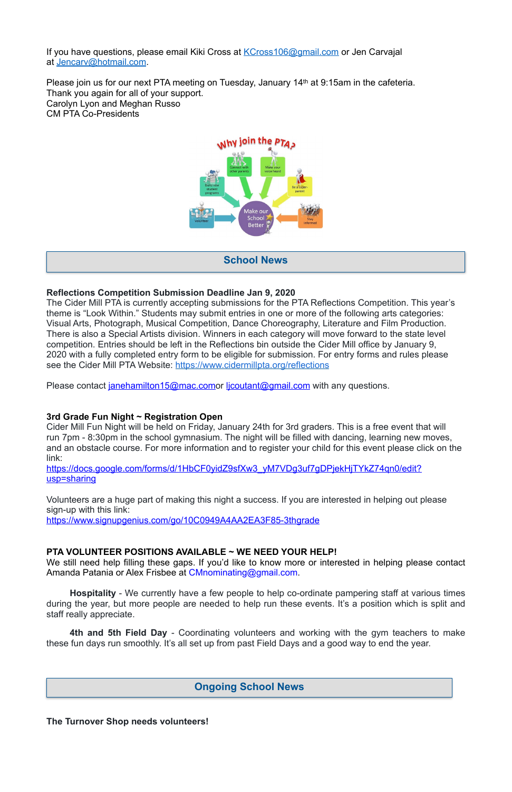If you have questions, please email Kiki Cross at KCross 106@gmail.com or Jen Carvajal at [Jencarv@hotmail.com](mailto:Jencarv@hotmail.com).

Please join us for our next PTA meeting on Tuesday, January 14<sup>th</sup> at 9:15am in the cafeteria. Thank you again for all of your support. Carolyn Lyon and Meghan Russo CM PTA Co-Presidents



The Cider Mill PTA is currently accepting submissions for the PTA Reflections Competition. This year's theme is "Look Within." Students may submit entries in one or more of the following arts categories: Visual Arts, Photograph, Musical Competition, Dance Choreography, Literature and Film Production. There is also a Special Artists division. Winners in each category will move forward to the state level competition. Entries should be left in the Reflections bin outside the Cider Mill office by January 9, 2020 with a fully completed entry form to be eligible for submission. For entry forms and rules please see the Cider Mill PTA Website:<https://www.cidermillpta.org/reflections>

Please contact *[janehamilton15@mac.como](mailto:janehamilton15@mac.com)r licoutant@gmail.com* with any questions.

#### **Reflections Competition Submission Deadline Jan 9, 2020**

https://docs.google.com/forms/d/1HbCF0yidZ9sfXw3\_yM7VDg3uf7gDPjekHjTYkZ74gn0/edit? [usp=sharing](https://docs.google.com/forms/d/1HbCF0yidZ9sfXw3_yM7VDg3uf7gDPjekHjTYkZ74qn0/edit?usp=sharing)

Volunteers are a huge part of making this night a success. If you are interested in helping out please sign-up with this link:

We still need help filling these gaps. If you'd like to know more or interested in helping please contact Amanda Patania or Alex Frisbee at [CMnominating@gmail.com](mailto:CMnominating@gmail.com).

#### **3rd Grade Fun Night ~ Registration Open**

Cider Mill Fun Night will be held on Friday, January 24th for 3rd graders. This is a free event that will run 7pm - 8:30pm in the school gymnasium. The night will be filled with dancing, learning new moves, and an obstacle course. For more information and to register your child for this event please click on the link:

<https://www.signupgenius.com/go/10C0949A4AA2EA3F85-3thgrade>

#### **PTA VOLUNTEER POSITIONS AVAILABLE ~ WE NEED YOUR HELP!**

**Hospitality** - We currently have a few people to help co-ordinate pampering staff at various times during the year, but more people are needed to help run these events. It's a position which is split and staff really appreciate.

**4th and 5th Field Day** - Coordinating volunteers and working with the gym teachers to make these fun days run smoothly. It's all set up from past Field Days and a good way to end the year.

**The Turnover Shop needs volunteers!** 

**School News**

## **Ongoing School News**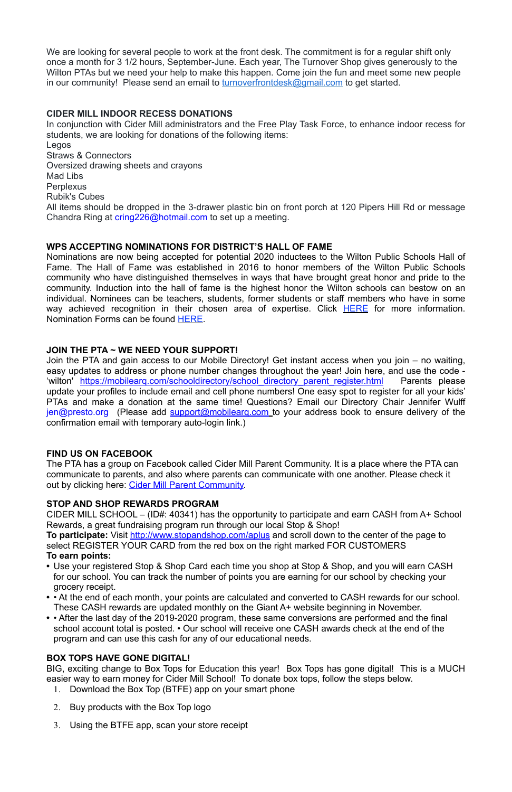We are looking for several people to work at the front desk. The commitment is for a regular shift only once a month for 3 1/2 hours, September-June. Each year, The Turnover Shop gives generously to the Wilton PTAs but we need your help to make this happen. Come join the fun and meet some new people in our community! Please send an email to **turnoverfrontdesk@gmail.com** to get started.

#### **CIDER MILL INDOOR RECESS DONATIONS**

In conjunction with Cider Mill administrators and the Free Play Task Force, to enhance indoor recess for students, we are looking for donations of the following items: Legos Straws & Connectors Oversized drawing sheets and crayons Mad Libs **Perplexus** Rubik's Cubes All items should be dropped in the 3-drawer plastic bin on front porch at 120 Pipers Hill Rd or message Chandra Ring at [cring226@hotmail.com](mailto:cring226@hotmail.com) to set up a meeting.

#### **WPS ACCEPTING NOMINATIONS FOR DISTRICT'S HALL OF FAME**

Nominations are now being accepted for potential 2020 inductees to the Wilton Public Schools Hall of Fame. The Hall of Fame was established in 2016 to honor members of the Wilton Public Schools community who have distinguished themselves in ways that have brought great honor and pride to the community. Induction into the hall of fame is the highest honor the Wilton schools can bestow on an individual. Nominees can be teachers, students, former students or staff members who have in some way achieved recognition in their chosen area of expertise. Click **HERE** for more information. Nomination Forms can be found [HERE.](http://track.spe.schoolmessenger.com/f/a/3Yz71ntoAvhN2xGbOg7igg~~/AAAAAQA~/RgRfl0b4P0RSaHR0cHM6Ly9kcml2ZS5nb29nbGUuY29tL2ZpbGUvZC8xVzB2d0F6RExIRExGcFZ1c1Zjc3owclNYejBJWFMxZlMvdmlldz91c3A9c2hhcmluZ1cHc2Nob29sbUIKAAB4E7ZdJF1uw1ITd29vZnlAb3B0b25saW5lLm5ldFgEAAAAAQ~~)

#### **JOIN THE PTA ~ WE NEED YOUR SUPPORT!**

Join the PTA and gain access to our Mobile Directory! Get instant access when you join – no waiting, easy updates to address or phone number changes throughout the year! Join here, and use the code - 'wilton' https://mobilearg.com/schooldirectory/school directory parent register.html Parents please update your profiles to include email and cell phone numbers! One easy spot to register for all your kids' PTAs and make a donation at the same time! Questions? Email our Directory Chair Jennifer Wulff [jen@presto.org](mailto:jen@presto.org) (Please add support@mobilearg.com to your address book to ensure delivery of the confirmation email with temporary auto-login link.)

#### **FIND US ON FACEBOOK**

The PTA has a group on Facebook called Cider Mill Parent Community. It is a place where the PTA can communicate to parents, and also where parents can communicate with one another. Please check it out by clicking here: [Cider Mill Parent Community.](https://www.facebook.com/groups/1168962513117647/)

#### **STOP AND SHOP REWARDS PROGRAM**

CIDER MILL SCHOOL – (ID#: 40341) has the opportunity to participate and earn CASH from A+ School Rewards, a great fundraising program run through our local Stop & Shop! **To participate:** Visit<http://www.stopandshop.com/aplus>and scroll down to the center of the page to select REGISTER YOUR CARD from the red box on the right marked FOR CUSTOMERS **To earn points:**

**•** Use your registered Stop & Shop Card each time you shop at Stop & Shop, and you will earn CASH for our school. You can track the number of points you are earning for our school by checking your grocery receipt. **•** • At the end of each month, your points are calculated and converted to CASH rewards for our school. These CASH rewards are updated monthly on the Giant A+ website beginning in November. **•** • After the last day of the 2019-2020 program, these same conversions are performed and the final school account total is posted. • Our school will receive one CASH awards check at the end of the program and can use this cash for any of our educational needs.

#### **BOX TOPS HAVE GONE DIGITAL!**

BIG, exciting change to Box Tops for Education this year! Box Tops has gone digital! This is a MUCH easier way to earn money for Cider Mill School! To donate box tops, follow the steps below.

- 1. Download the Box Top (BTFE) app on your smart phone
- 2. Buy products with the Box Top logo
- 3. Using the BTFE app, scan your store receipt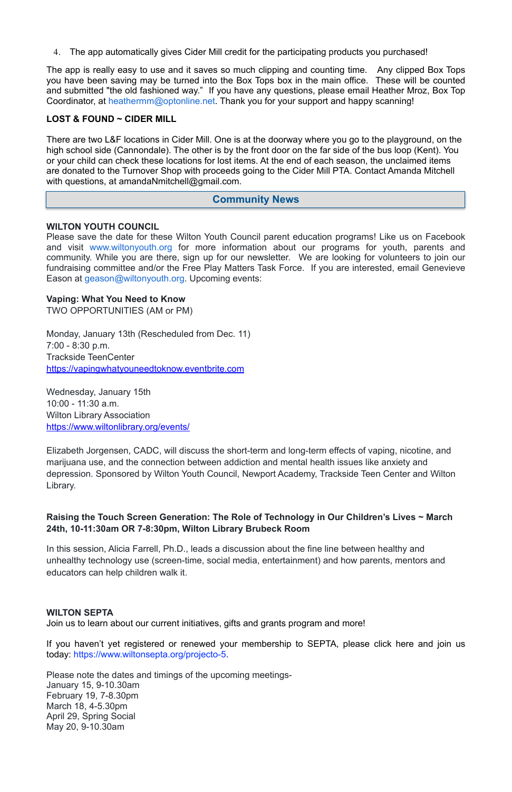4. The app automatically gives Cider Mill credit for the participating products you purchased!

There are two L&F locations in Cider Mill. One is at the doorway where you go to the playground, on the high school side (Cannondale). The other is by the front door on the far side of the bus loop (Kent). You or your child can check these locations for lost items. At the end of each season, the unclaimed items are donated to the Turnover Shop with proceeds going to the Cider Mill PTA. Contact Amanda Mitchell with questions, at amandaNmitchell@gmail.com.

The app is really easy to use and it saves so much clipping and counting time. Any clipped Box Tops you have been saving may be turned into the Box Tops box in the main office. These will be counted and submitted "the old fashioned way." If you have any questions, please email Heather Mroz, Box Top Coordinator, at [heathermm@optonline.net.](mailto:heathermm@optonline.net) Thank you for your support and happy scanning!

Please save the date for these Wilton Youth Council parent education programs! Like us on Facebook and visit [www.wiltonyouth.org](http://www.wiltonyouth.org/) for more information about our programs for youth, parents and community. While you are there, sign up for our newsletter. We are looking for volunteers to join our fundraising committee and/or the Free Play Matters Task Force. If you are interested, email Genevieve Eason at [geason@wiltonyouth.org](mailto:geason@wiltonyouth.org). Upcoming events:

#### **LOST & FOUND ~ CIDER MILL**

#### **WILTON YOUTH COUNCIL**

#### **Vaping: What You Need to Know**

TWO OPPORTUNITIES (AM or PM)

Monday, January 13th (Rescheduled from Dec. 11) 7:00 - 8:30 p.m. Trackside TeenCenter [https://vapingwhatyouneedtoknow.eventbrite.com](https://vapingwhatyouneedtoknow.eventbrite.com/) 

Wednesday, January 15th 10:00 - 11:30 a.m. Wilton Library Association <https://www.wiltonlibrary.org/events/>

Elizabeth Jorgensen, CADC, will discuss the short-term and long-term effects of vaping, nicotine, and marijuana use, and the connection between addiction and mental health issues like anxiety and depression. Sponsored by Wilton Youth Council, Newport Academy, Trackside Teen Center and Wilton Library.

#### **Raising the Touch Screen Generation: The Role of Technology in Our Children's Lives ~ March 24th, 10-11:30am OR 7-8:30pm, Wilton Library Brubeck Room**

In this session, Alicia Farrell, Ph.D., leads a discussion about the fine line between healthy and unhealthy technology use (screen-time, social media, entertainment) and how parents, mentors and educators can help children walk it.

#### **WILTON SEPTA**

Join us to learn about our current initiatives, gifts and grants program and more!

If you haven't yet registered or renewed your membership to SEPTA, please click here and join us today: [https://www.wiltonsepta.org/projecto-5.](https://www.wiltonsepta.org/projecto-5)

Please note the dates and timings of the upcoming meetings-January 15, 9-10.30am February 19, 7-8.30pm March 18, 4-5.30pm April 29, Spring Social May 20, 9-10.30am

#### **Community News**